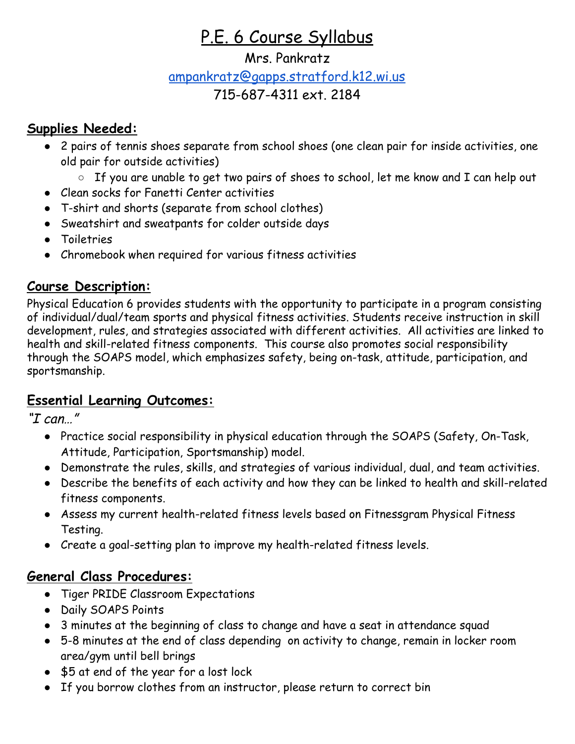# P.E. 6 Course Syllabus

### Mrs. Pankratz

## [ampankratz@gapps.stratford.k12.wi.us](mailto:ampankratz@gapps.stratford.k12.wi.us)

## 715-687-4311 ext. 2184

## **Supplies Needed:**

- 2 pairs of tennis shoes separate from school shoes (one clean pair for inside activities, one old pair for outside activities)
	- If you are unable to get two pairs of shoes to school, let me know and I can help out
- Clean socks for Fanetti Center activities
- T-shirt and shorts (separate from school clothes)
- Sweatshirt and sweatpants for colder outside days
- Toiletries
- Chromebook when required for various fitness activities

## **Course Description:**

Physical Education 6 provides students with the opportunity to participate in a program consisting of individual/dual/team sports and physical fitness activities. Students receive instruction in skill development, rules, and strategies associated with different activities. All activities are linked to health and skill-related fitness components. This course also promotes social responsibility through the SOAPS model, which emphasizes safety, being on-task, attitude, participation, and sportsmanship.

## **Essential Learning Outcomes:**

"I can…"

- Practice social responsibility in physical education through the SOAPS (Safety, On-Task, Attitude, Participation, Sportsmanship) model.
- Demonstrate the rules, skills, and strategies of various individual, dual, and team activities.
- Describe the benefits of each activity and how they can be linked to health and skill-related fitness components.
- Assess my current health-related fitness levels based on Fitnessgram Physical Fitness Testing.
- Create a goal-setting plan to improve my health-related fitness levels.

## **General Class Procedures:**

- Tiger PRIDE Classroom Expectations
- Daily SOAPS Points
- 3 minutes at the beginning of class to change and have a seat in attendance squad
- 5-8 minutes at the end of class depending on activity to change, remain in locker room area/gym until bell brings
- \$5 at end of the year for a lost lock
- If you borrow clothes from an instructor, please return to correct bin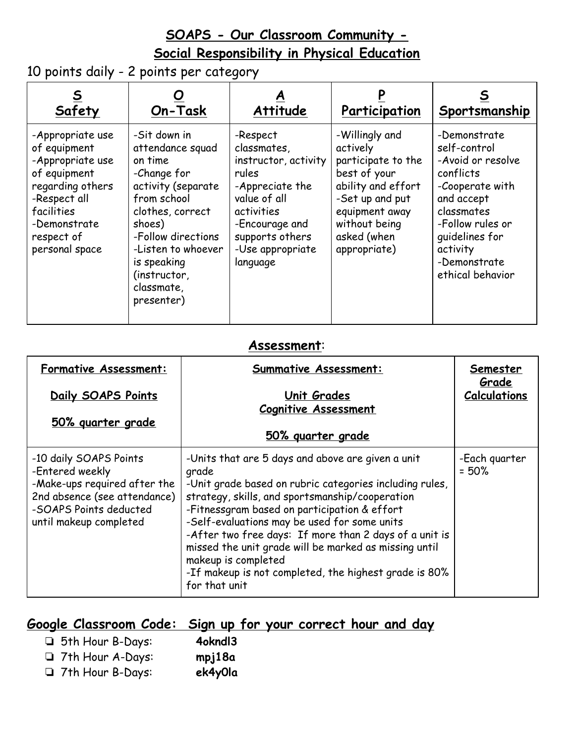## **SOAPS - Our Classroom Community - Social Responsibility in Physical Education**

10 points daily - 2 points per category

| <b>Safety</b>                                                                                                                                                          | On-Task                                                                                                                                                                                                                              | <b>Attitude</b>                                                                                                                                                                | Participation                                                                                                                                                               | Sportsmanship                                                                                                                                                                                       |
|------------------------------------------------------------------------------------------------------------------------------------------------------------------------|--------------------------------------------------------------------------------------------------------------------------------------------------------------------------------------------------------------------------------------|--------------------------------------------------------------------------------------------------------------------------------------------------------------------------------|-----------------------------------------------------------------------------------------------------------------------------------------------------------------------------|-----------------------------------------------------------------------------------------------------------------------------------------------------------------------------------------------------|
| -Appropriate use<br>of equipment<br>-Appropriate use<br>of equipment<br>regarding others<br>-Respect all<br>facilities<br>-Demonstrate<br>respect of<br>personal space | -Sit down in<br>attendance squad<br>on time<br>-Change for<br>activity (separate<br>from school<br>clothes, correct<br>shoes)<br>-Follow directions<br>-Listen to whoever<br>is speaking<br>(instructor,<br>classmate,<br>presenter) | -Respect<br>classmates,<br>instructor, activity<br>rules<br>-Appreciate the<br>value of all<br>activities<br>-Encourage and<br>supports others<br>-Use appropriate<br>language | -Willingly and<br>actively<br>participate to the<br>best of your<br>ability and effort<br>-Set up and put<br>equipment away<br>without being<br>asked (when<br>appropriate) | -Demonstrate<br>self-control<br>-Avoid or resolve<br>conflicts<br>-Cooperate with<br>and accept<br>classmates<br>-Follow rules or<br>quidelines for<br>activity<br>-Demonstrate<br>ethical behavior |

#### **Assessment**:

| <b>Formative Assessment:</b>                                                                                                                                  | <b>Summative Assessment:</b>                                                                                                                                                                                                                                                                                                                                                                                                                                                                 | Semester<br>Grade        |
|---------------------------------------------------------------------------------------------------------------------------------------------------------------|----------------------------------------------------------------------------------------------------------------------------------------------------------------------------------------------------------------------------------------------------------------------------------------------------------------------------------------------------------------------------------------------------------------------------------------------------------------------------------------------|--------------------------|
| Daily SOAPS Points                                                                                                                                            | Unit Grades<br><b>Cognitive Assessment</b>                                                                                                                                                                                                                                                                                                                                                                                                                                                   | <b>Calculations</b>      |
| <u>50% quarter grade</u>                                                                                                                                      | 50% guarter grade                                                                                                                                                                                                                                                                                                                                                                                                                                                                            |                          |
| -10 daily SOAPS Points<br>-Entered weekly<br>-Make-ups required after the<br>2nd absence (see attendance)<br>-SOAPS Points deducted<br>until makeup completed | -Units that are 5 days and above are given a unit<br>grade<br>-Unit grade based on rubric categories including rules,<br>strategy, skills, and sportsmanship/cooperation<br>-Fitnessgram based on participation & effort<br>-Self-evaluations may be used for some units<br>-After two free days: If more than 2 days of a unit is<br>missed the unit grade will be marked as missing until<br>makeup is completed<br>-If makeup is not completed, the highest grade is 80%<br>for that unit | -Each guarter<br>$= 50%$ |

## **Google Classroom Code: Sign up for your correct hour and day**

❏ 5th Hour B-Days: **4okndl3** ❏ 7th Hour A-Days: **mpj18a** ❏ 7th Hour B-Days: **ek4y0la**